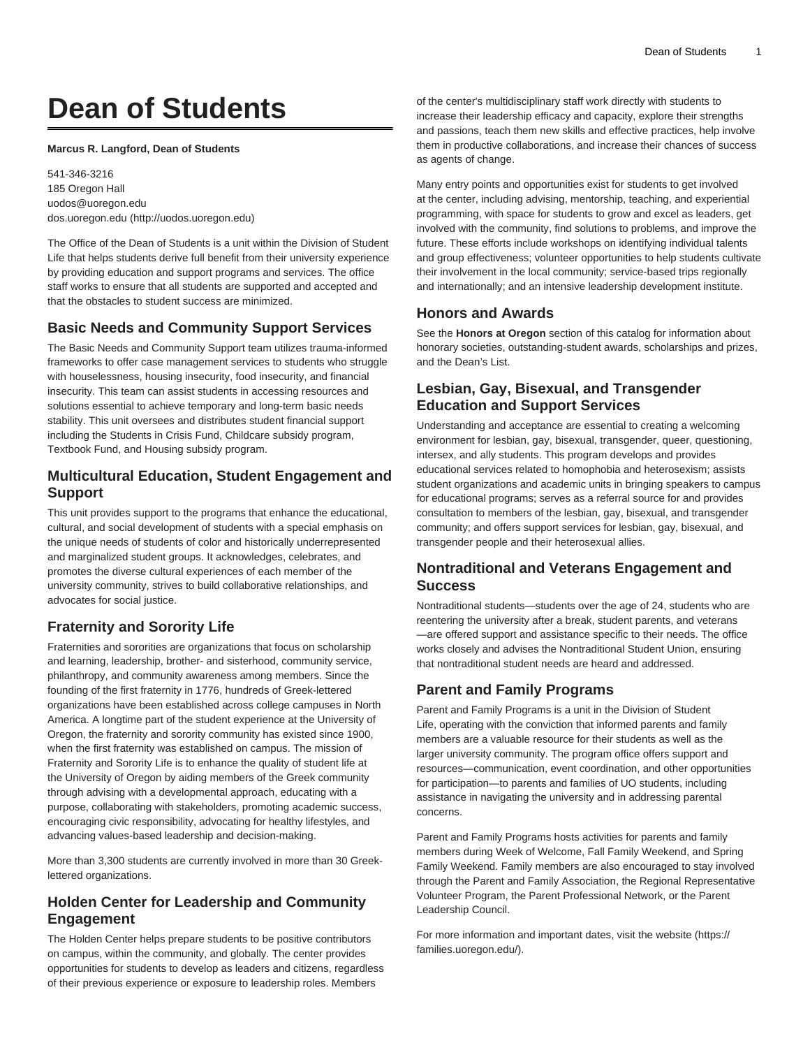# **Dean of Students**

#### **Marcus R. Langford, Dean of Students**

541-346-3216 185 Oregon Hall [uodos@uoregon.edu](mailto:uodos@uoregon.edu) [dos.uoregon.edu](http://uodos.uoregon.edu) ([http://uodos.uoregon.edu\)](http://uodos.uoregon.edu)

The Office of the Dean of Students is a unit within the Division of Student Life that helps students derive full benefit from their university experience by providing education and support programs and services. The office staff works to ensure that all students are supported and accepted and that the obstacles to student success are minimized.

#### **Basic Needs and Community Support Services**

The Basic Needs and Community Support team utilizes trauma-informed frameworks to offer case management services to students who struggle with houselessness, housing insecurity, food insecurity, and financial insecurity. This team can assist students in accessing resources and solutions essential to achieve temporary and long-term basic needs stability. This unit oversees and distributes student financial support including the Students in Crisis Fund, Childcare subsidy program, Textbook Fund, and Housing subsidy program.

# **Multicultural Education, Student Engagement and Support**

This unit provides support to the programs that enhance the educational, cultural, and social development of students with a special emphasis on the unique needs of students of color and historically underrepresented and marginalized student groups. It acknowledges, celebrates, and promotes the diverse cultural experiences of each member of the university community, strives to build collaborative relationships, and advocates for social justice.

# **Fraternity and Sorority Life**

Fraternities and sororities are organizations that focus on scholarship and learning, leadership, brother- and sisterhood, community service, philanthropy, and community awareness among members. Since the founding of the first fraternity in 1776, hundreds of Greek-lettered organizations have been established across college campuses in North America. A longtime part of the student experience at the University of Oregon, the fraternity and sorority community has existed since 1900, when the first fraternity was established on campus. The mission of Fraternity and Sorority Life is to enhance the quality of student life at the University of Oregon by aiding members of the Greek community through advising with a developmental approach, educating with a purpose, collaborating with stakeholders, promoting academic success, encouraging civic responsibility, advocating for healthy lifestyles, and advancing values-based leadership and decision-making.

More than 3,300 students are currently involved in more than 30 Greeklettered organizations.

# **Holden Center for Leadership and Community Engagement**

The Holden Center helps prepare students to be positive contributors on campus, within the community, and globally. The center provides opportunities for students to develop as leaders and citizens, regardless of their previous experience or exposure to leadership roles. Members

of the center's multidisciplinary staff work directly with students to increase their leadership efficacy and capacity, explore their strengths and passions, teach them new skills and effective practices, help involve them in productive collaborations, and increase their chances of success as agents of change.

Many entry points and opportunities exist for students to get involved at the center, including advising, mentorship, teaching, and experiential programming, with space for students to grow and excel as leaders, get involved with the community, find solutions to problems, and improve the future. These efforts include workshops on identifying individual talents and group effectiveness; volunteer opportunities to help students cultivate their involvement in the local community; service-based trips regionally and internationally; and an intensive leadership development institute.

#### **Honors and Awards**

See the **Honors at Oregon** section of this catalog for information about honorary societies, outstanding-student awards, scholarships and prizes, and the Dean's List.

# **Lesbian, Gay, Bisexual, and Transgender Education and Support Services**

Understanding and acceptance are essential to creating a welcoming environment for lesbian, gay, bisexual, transgender, queer, questioning, intersex, and ally students. This program develops and provides educational services related to homophobia and heterosexism; assists student organizations and academic units in bringing speakers to campus for educational programs; serves as a referral source for and provides consultation to members of the lesbian, gay, bisexual, and transgender community; and offers support services for lesbian, gay, bisexual, and transgender people and their heterosexual allies.

# **Nontraditional and Veterans Engagement and Success**

Nontraditional students—students over the age of 24, students who are reentering the university after a break, student parents, and veterans —are offered support and assistance specific to their needs. The office works closely and advises the Nontraditional Student Union, ensuring that nontraditional student needs are heard and addressed.

# **Parent and Family Programs**

Parent and Family Programs is a unit in the Division of Student Life, operating with the conviction that informed parents and family members are a valuable resource for their students as well as the larger university community. The program office offers support and resources—communication, event coordination, and other opportunities for participation—to parents and families of UO students, including assistance in navigating the university and in addressing parental concerns.

Parent and Family Programs hosts activities for parents and family members during Week of Welcome, Fall Family Weekend, and Spring Family Weekend. Family members are also encouraged to stay involved through the Parent and Family Association, the Regional Representative Volunteer Program, the Parent Professional Network, or the Parent Leadership Council.

For more information and important dates, visit the [website](https://families.uoregon.edu/) ([https://](https://families.uoregon.edu/) [families.uoregon.edu/](https://families.uoregon.edu/)).